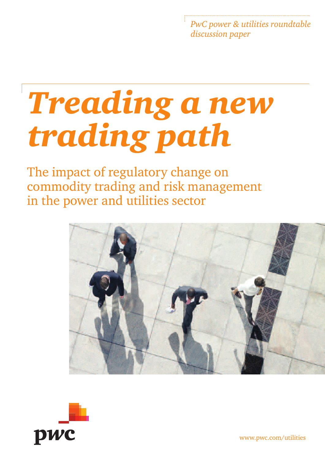*PwC power & utilities roundtable discussion paper*

# *Treading a new trading path*

The impact of regulatory change on commodity trading and risk management in the power and utilities sector





www.pwc.com/utilities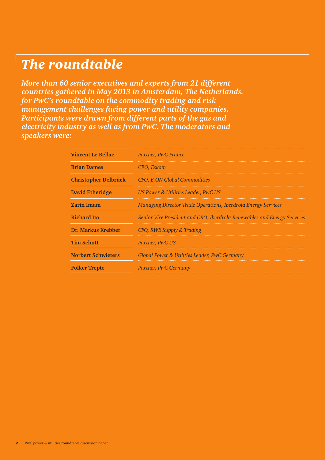# *The roundtable*

*More than 60 senior executives and experts from 21 different countries gathered in May 2013 in Amsterdam, The Netherlands, for PwC's roundtable on the commodity trading and risk management challenges facing power and utility companies. Participants were drawn from different parts of the gas and electricity industry as well as from PwC. The moderators and speakers were:*

| <b>Vincent Le Bellac</b>    | Partner, PwC France                                                     |
|-----------------------------|-------------------------------------------------------------------------|
| <b>Brian Dames</b>          | CEO, Eskom                                                              |
| <b>Christopher Delbrück</b> | CFO, E.ON Global Commodities                                            |
| David Etheridge             | US Power & Utilities Leader, PwC US                                     |
| <b>Zarin Imam</b>           | Managing Director Trade Operations, Iberdrola Energy Services           |
| <b>Richard Ito</b>          | Senior Vice President and CRO, Iberdrola Renewables and Energy Services |
| Dr. Markus Krebber          | CFO, RWE Supply & Trading                                               |
| <b>Tim Schutt</b>           | Partner, PwC US                                                         |
| <b>Norbert Schwieters</b>   | Global Power & Utilities Leader, PwC Germany                            |
| <b>Folker Trepte</b>        | Partner, PwC Germany                                                    |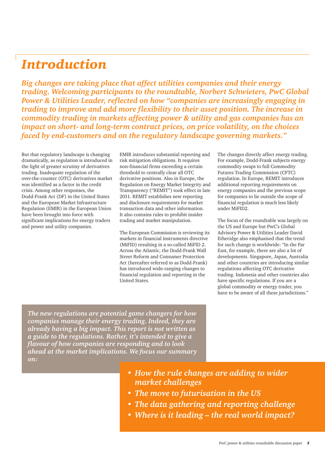## *Introduction*

*Big changes are taking place that affect utilities companies and their energy trading. Welcoming participants to the roundtable, Norbert Schwieters, PwC Global Power & Utilities Leader, reflected on how "companies are increasingly engaging in trading to improve and add more flexibility to their asset position. The increase in commodity trading in markets affecting power & utility and gas companies has an impact on short- and long-term contract prices, on price volatility, on the choices faced by end-customers and on the regulatory landscape governing markets."* 

But that regulatory landscape is changing dramatically, as regulation is introduced in the light of greater scrutiny of derivatives trading. Inadequate regulation of the over-the-counter (OTC) derivatives market was identified as a factor in the credit crisis. Among other responses, the Dodd-Frank Act (DF) in the United States and the European Market Infrastructure Regulation (EMIR) in the European Union have been brought into force with significant implications for energy traders and power and utility companies.

EMIR introduces substantial reporting and risk mitigation obligations. It requires non-financial firms exceeding a certain threshold to centrally clear all OTC derivative positions. Also in Europe, the Regulation on Energy Market Integrity and Transparency ("REMIT") took effect in late 2011. REMIT establishes new reporting and disclosure requirements for market transaction data and other information. It also contains rules to prohibit insider trading and market manipulation.

The European Commission is reviewing its markets in financial instruments directive (MiFID) resulting in a so-called MiFID 2. Across the Atlantic, the Dodd-Frank Wall Street Reform and Consumer Protection Act (hereafter referred to as Dodd-Frank) has introduced wide-ranging changes to financial regulation and reporting in the United States.

The changes directly affect energy trading. For example, Dodd-Frank subjects energy commodity swaps to full Commodity Futures Trading Commission (CFTC) regulation. In Europe, REMIT introduces additional reporting requirements on energy companies and the previous scope for companies to lie outside the scope of financial regulation is much less likely under MiFID2.

The focus of the roundtable was largely on the US and Europe but PwC's Global Advisory Power & Utilities Leader David Etheridge also emphasised that the trend for such change is worldwide: "In the Far East, for example, there are also a lot of developments. Singapore, Japan, Australia and other countries are introducing similar regulations affecting OTC derivative trading. Indonesia and other countries also have specific regulations. If you are a global commodity or energy trader, you have to be aware of all these jurisdictions."

*The new regulations are potential game changers for how companies manage their energy trading. Indeed, they are already having a big impact. This report is not written as a guide to the regulations. Rather, it's intended to give a flavour of how companies are responding and to look ahead at the market implications. We focus our summary on:*

- *How the rule changes are adding to wider market challenges*
- *• The move to futurisation in the US*
- *The data gathering and reporting challenge*
- *Where is it leading the real world impact?*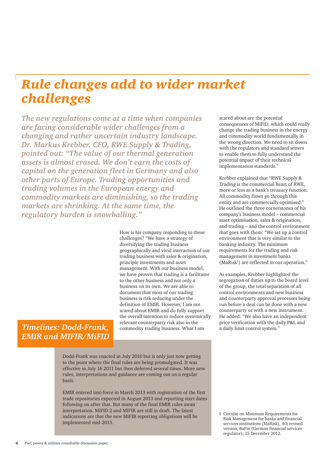# *Rule changes add to wider market challenges*

*The new regulations come at a time when companies are facing considerable wider challenges from a changing and rather uncertain industry landscape. Dr. Markus Krebber, CFO, RWE Supply & Trading, pointed out: "The value of our thermal generation assets is almost erased. We don't earn the costs of capital on the generation fleet in Germany and also other parts of Europe. Trading opportunities and trading volumes in the European energy and commodity markets are diminishing, so the trading markets are shrinking. At the same time, the regulatory burden is snowballing."*

> How is his company responding to these challenges? "We have a strategy of diversifying the trading business geographically and vivid interaction of our trading business with sales & origination, principle investments and asset management. With our business model, we have proven that trading is a facilitator to the other business and not only a business on its own. We are able to document that most of our trading business is risk-reducing under the definition of EMIR. However, I am not scared about EMIR and do fully support the overall intention to reduce systemically relevant counterparty risk also in the commodity trading business. What I am

*Timelines: Dodd-Frank, EMIR and MIFIR/MiFID*

> Dodd-Frank was enacted in July 2010 but is only just now getting to the point where the final rules are being promulgated. It was effective in July 16 2011 but then deferred several times. More new rules, interpretations and guidance are coming out on a regular basis.

EMIR entered into force in March 2013 with registration of the first trade repositories expected in August 2013 and reporting start dates following on after that. But many of the final EMIR rules await interpretation. MiFID 2 and MIFIR are still in draft. The latest indications are that the new MiFIR reporting obligations will be implemented mid-2015.

scared about are the potential consequences of MiFID, which could really change the trading business in the energy and commodity world fundamentally in the wrong direction. We need to sit down with the regulators and standard setters to enable them to fully understand the potential impact of their technical implementation standards."

Krebber explained that "RWE Supply & Trading is the commercial heart of RWE, more or less as a bank's treasury function. All commodity flows go through this entity and are commercially optimised." He outlined the three cornerstones of his company's business model – commercial asset optimisation, sales & origination, and trading – and the control environment that goes with them: "We set up a control environment that is very similar to the banking industry. The minimum requirements for the trading and risk management in investment banks (MaRisk<sup>1</sup>) are reflected in our operation."

As examples, Krebber highlighted the segregation of duties up to the board level of the group, the total separation of all control environments and new business and counterparty approval processes being run before a deal can be done with a new counterparty or with a new instrument. He added: "We also have an independent price verification with the daily P&L and a daily limit control system."

1 Circular on Minimum Requirements for Risk Management for banks and financial services institutions (MaRisk), 4th revised version, BaFin (German financial services regulator), 15 December 2012.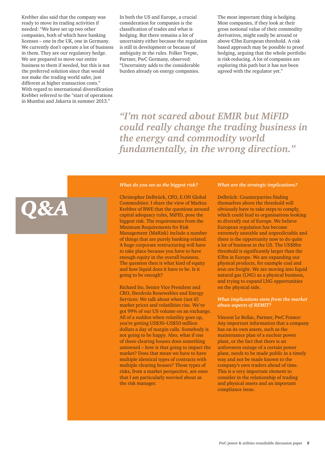Krebber also said that the company was ready to move its trading activities if needed: "We have set up two other companies, both of which have banking licenses – one in the UK, one in Germany. We currently don't operate a lot of business in them. They are our regulatory hedge. We are prepared to move our entire business to them if needed, but this is not the preferred solution since that would not make the trading world safer, just different at higher transaction costs." With regard to international diversification Krebber referred to the "start of operations in Mumbai and Jakarta in summer 2013."

In both the US and Europe, a crucial consideration for companies is the classification of trades and what is hedging. But there remains a lot of uncertainty either because the regulation is still in development or because of ambiguity in the rules. Folker Trepte, Partner, PwC Germany, observed: "Uncertainty adds to the considerable burden already on energy companies.

The most important thing is hedging. Most companies, if they look at their gross notional value of their commodity derivatives, might easily be around or above €3bn European threshold. A risk based approach may be possible to proof hedging, arguing that the whole portfolio is risk-reducing. A lot of companies are exploring this path but it has not been agreed with the regulator yet."

*"I'm not scared about EMIR but MiFID could really change the trading business in the energy and commodity world fundamentally, in the wrong direction."*

# *Q&A*

#### *What do you see as the biggest risk?*

Christopher Delbrück, CFO, E.ON Global Commodities: I share the view of Markus Krebber of RWE that the questions around capital adequacy rules, MiFID, pose the biggest risk. The requirements from the Minimum Requirements for Risk Management (MaRisk) include a number of things that are purely banking-related. A huge corporate restructuring will have to take place because you have to have enough equity in the overall business. The question then is what kind of equity and how liquid does it have to be. Is it going to be enough?

Richard Ito, Senior Vice President and CRO, Iberdrola Renewables and Energy Services: We talk about when (not if) market prices and volatilities rise. We've got 99% of our US volume on an exchange. All of a sudden when volatility goes up, you're getting US\$30–US\$50 million dollars a day of margin calls. Somebody is not going to be happy. Also, what if one of these clearing houses does something untoward – how is that going to impact the market? Does that mean we have to have multiple identical types of contracts with multiple clearing houses? Those types of risks, from a market perspective, are ones that I am particularly worried about as the risk manager.

#### *What are the strategic implications?*

Delbrück: Counterparties finding themselves above the threshold will obviously have to take steps to comply, which could lead to organisations looking to diversify out of Europe. We believe European regulation has become extremely unstable and unpredictable and there is the opportunity now to do quite a lot of business in the US. The US\$8bn threshold is significantly larger than the €3bn in Europe. We are expanding our physical products, for example coal and iron ore freight. We are moving into liquid natural gas (LNG) as a physical business, and trying to expand LNG opportunities on the physical side.

#### *What implications stem from the market abuse aspects of REMIT?*

Vincent Le Bellac, Partner, PwC France: Any important information that a company has on its own assets, such as the maintenance plan of a nuclear power plant, or the fact that there is an unforeseen outage of a certain power plant, needs to be made public in a timely way and not be made known to the company's own traders ahead of time. This is a very important element to consider in the relationship of trading and physical assets and an important compliance issue.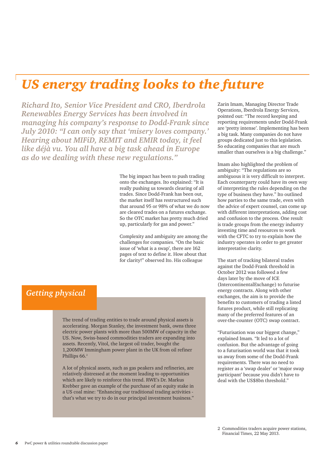# *US energy trading looks to the future*

*Richard Ito, Senior Vice President and CRO, Iberdrola Renewables Energy Services has been involved in managing his company's response to Dodd-Frank since July 2010: "I can only say that 'misery loves company.' Hearing about MIFiD, REMIT and EMIR today, it feel like déjà vu. You all have a big task ahead in Europe as do we dealing with these new regulations."*

> The big impact has been to push trading onto the exchanges. Ito explained: "It is really pushing us towards clearing of all trades. Since Dodd-Frank has been out, the market itself has restructured such that around 95 or 98% of what we do now are cleared trades on a futures exchange. So the OTC market has pretty much dried up, particularly for gas and power."

Complexity and ambiguity are among the challenges for companies. "On the basic issue of 'what is a swap', there are 162 pages of text to define it. How about that for clarity!" observed Ito. His colleague

### *Getting physical*

The trend of trading entities to trade around physical assets is accelerating. Morgan Stanley, the investment bank, owns three electric power plants with more than 500MW of capacity in the US. Now, Swiss-based commodities traders are expanding into assets. Recently, Vitol, the largest oil trader, bought the 1,200MW Immingham power plant in the UK from oil refiner Phillips 66.<sup>2</sup>

A lot of physical assets, such as gas peakers and refineries, are relatively distressed at the moment leading to opportunities which are likely to reinforce this trend. RWE's Dr. Markus Krebber gave an example of the purchase of an equity stake in a US coal mine: "Enhancing our traditional trading activities that's what we try to do in our principal investment business."

Zarin Imam, Managing Director Trade Operations, Iberdrola Energy Services, pointed out: "The record keeping and reporting requirements under Dodd-Frank are 'pretty intense'. Implementing has been a big task. Many companies do not have groups dedicated just to this legislation. So educating companies that are much smaller than ourselves is a big challenge."

Imam also highlighted the problem of ambiguity: "The regulations are so ambiguous it is very difficult to interpret. Each counterparty could have its own way of interpreting the rules depending on the type of business they have." Ito outlined how parties to the same trade, even with the advice of expert counsel, can come up with different interpretations, adding cost and confusion to the process. One result is trade groups from the energy industry investing time and resources to work with the CFTC to try to explain how the industry operates in order to get greater interpretative clarity.

The start of tracking bilateral trades against the Dodd-Frank threshold in October 2012 was followed a few days later by the move of ICE (IntercontinentalExchange) to futurise energy contracts. Along with other exchanges, the aim is to provide the benefits to customers of trading a listed futures product, while still replicating many of the preferred features of an over-the-counter (OTC) swap contract.

"Futurisation was our biggest change," explained Imam. "It led to a lot of confusion. But the advantage of going to a futurisation world was that it took us away from some of the Dodd-Frank requirements. There was no need to register as a 'swap dealer' or 'major swap participant' because you didn't have to deal with the US\$8bn threshold."

2 Commodities traders acquire power stations, Financial Times, 22 May 2013.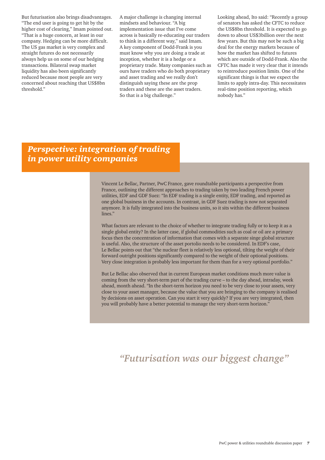But futurisation also brings disadvantages. "The end user is going to get hit by the higher cost of clearing," Imam pointed out. "That is a huge concern, at least in our company. Hedging can be more difficult. The US gas market is very complex and straight futures do not necessarily always help us on some of our hedging transactions. Bilateral swap market liquidity has also been significantly reduced because most people are very concerned about reaching that US\$8bn threshold."

A major challenge is changing internal mindsets and behaviour. "A big implementation issue that I've come across is basically re-educating our traders to think in a different way," said Imam. A key component of Dodd-Frank is you must know why you are doing a trade at inception, whether it is a hedge or a proprietary trade. Many companies such as ours have traders who do both proprietary and asset trading and we really don't distinguish saying these are the prop traders and these are the asset traders. So that is a big challenge."

Looking ahead, Ito said: "Recently a group of senators has asked the CFTC to reduce the US\$8bn threshold. It is expected to go down to about US\$3billion over the next few years. But this may not be such a big deal for the energy markets because of how the market has shifted to futures which are outside of Dodd-Frank. Also the CFTC has made it very clear that it intends to reintroduce position limits. One of the significant things is that we expect the limits to apply intra-day. This necessitates real-time position reporting, which nobody has."

#### *Perspective: integration of trading in power utility companies*

Vincent Le Bellac, Partner, PwC France, gave roundtable participants a perspective from France, outlining the different approaches to trading taken by two leading French power utilities, EDF and GDF Suez: "In EDF trading is a single entity, EDF trading, and reported as one global business in the accounts. In contrast, in GDF Suez trading is now not separated anymore. It is fully integrated into the business units, so it sits within the different business lines."

What factors are relevant to the choice of whether to integrate trading fully or to keep it as a single global entity? In the latter case, if global commodities such as coal or oil are a primary focus then the concentration of information that comes with a separate singe global structure is useful. Also, the structure of the asset portolio needs to be considered. In EDF's case, Le Bellac points out that "the nuclear fleet is relatively less optional, tilting the weight of their forward outright positions significantly compared to the weight of their optional positions. Very close integration is probably less important for them than for a very optional portfolio."

But Le Bellac also observed that in current European market conditions much more value is coming from the very short-term part of the trading curve – to the day ahead, intraday, week ahead, month ahead. "In the short-term horizon you need to be very close to your assets, very close to your asset manager, because the value that you are bringing to the company is realised by decisions on asset operation. Can you start it very quickly? If you are very integrated, then you will probably have a better potential to manage the very short-term horizon."

#### *"Futurisation was our biggest change"*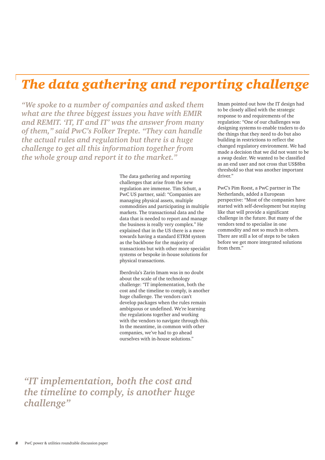# *The data gathering and reporting challenge*

*"We spoke to a number of companies and asked them what are the three biggest issues you have with EMIR and REMIT. 'IT, IT and IT' was the answer from many of them," said PwC's Folker Trepte. "They can handle the actual rules and regulation but there is a huge challenge to get all this information together from the whole group and report it to the market."*

> The data gathering and reporting challenges that arise from the new regulation are immense. Tim Schutt, a PwC US partner, said: "Companies are managing physical assets, multiple commodities and participating in multiple markets. The transactional data and the data that is needed to report and manage the business is really very complex." He explained that in the US there is a move towards having a standard ETRM system as the backbone for the majority of transactions but with other more specialist systems or bespoke in-house solutions for physical transactions.

> Iberdrola's Zarin Imam was in no doubt about the scale of the technology challenge: "IT implementation, both the cost and the timeline to comply, is another huge challenge. The vendors can't develop packages when the rules remain ambiguous or undefined. We're learning the regulations together and working with the vendors to navigate through this. In the meantime, in common with other companies, we've had to go ahead ourselves with in-house solutions."

Imam pointed out how the IT design had to be closely allied with the strategic response to and requirements of the regulation: "One of our challenges was designing systems to enable traders to do the things that they need to do but also building in restrictions to reflect the changed regulatory environment. We had made a decision that we did not want to be a swap dealer. We wanted to be classified as an end user and not cross that US\$8bn threshold so that was another important driver."

PwC's Pim Roest, a PwC partner in The Netherlands, added a European perspective: "Most of the companies have started with self-development but staying like that will provide a significant challenge in the future. But many of the vendors tend to specialise in one commodity and not so much in others. There are still a lot of steps to be taken before we get more integrated solutions from them."

*"IT implementation, both the cost and the timeline to comply, is another huge challenge"*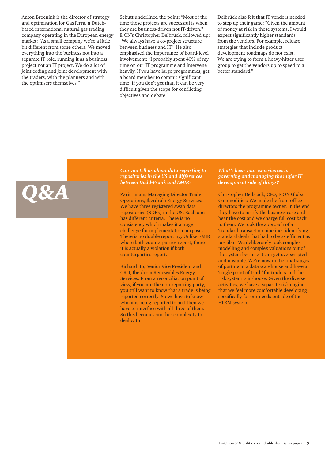Anton Broenink is the director of strategy and optimisation for GasTerra, a Dutchbased international natural gas trading company operating in the European energy market: "As a small company we're a little bit different from some others. We moved everything into the business not into a separate IT role, running it as a business project not an IT project. We do a lot of joint coding and joint development with the traders, with the planners and with the optimisers themselves."

*Q&A*

Schutt underlined the point: "Most of the time these projects are successful is when they are business-driven not IT-driven." E.ON's Christopher Delbrück, followed up: "We always have a co-project structure between business and IT." He also emphasised the importance of board-level involvement: "I probably spent 40% of my time on our IT programme and intervene heavily. If you have large programmes, get a board member to commit significant time. If you don't get that, it can be very difficult given the scope for conflicting objectives and debate."

Delbrück also felt that IT vendors needed to step up their game: "Given the amount of money at risk in those systems, I would expect significantly higher standards from the vendors. For example, release strategies that include product development roadmaps do not exist. We are trying to form a heavy-hitter user group to get the vendors up to speed to a better standard."

#### *Can you tell us about data reporting to repositories in the US and differences between Dodd-Frank and EMIR?*

Zarin Imam, Managing Director Trade Operations, Iberdrola Energy Services: We have three registered swap data repositories (SDRs) in the US. Each one has different criteria. There is no consistency which makes it a huge challenge for implementation purposes. There is no double reporting. Unlike EMIR where both counterparties report, there it is actually a violation if both counterparties report.

Richard Ito, Senior Vice President and CRO, Iberdrola Renewables Energy Services: From a reconciliation point of view, if you are the non-reporting party, you still want to know that a trade is being reported correctly. So we have to know who it is being reported to and then we have to interface with all three of them. So this becomes another complexity to deal with.

*What's been your experiences in governing and managing the major IT development side of things?*

Christopher Delbrück, CFO, E.ON Global Commodities: We made the front office directors the programme owner. In the end they have to justify the business case and bear the cost and we charge full cost back to them. We took the approach of a 'standard transaction pipeline', identifying standard deals that had to be as efficient as possible. We deliberately took complex modelling and complex valuations out of the system because it can get overscripted and unstable. We're now in the final stages of putting in a data warehouse and have a 'single point of truth' for traders and the risk system is in-house. Given the diverse activities, we have a separate risk engine that we feel more comfortable developing specifically for our needs outside of the ETRM system.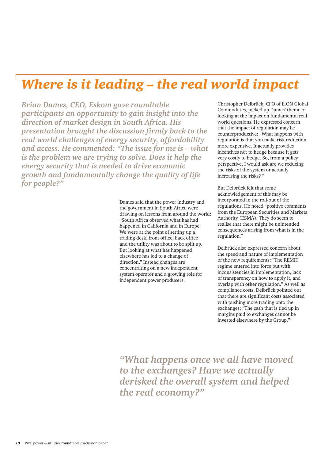## *Where is it leading – the real world impact*

*Brian Dames, CEO, Eskom gave roundtable participants an opportunity to gain insight into the direction of market design in South Africa. His presentation brought the discussion firmly back to the real world challenges of energy security, affordability and access. He commented: "The issue for me is – what is the problem we are trying to solve. Does it help the energy security that is needed to drive economic growth and fundamentally change the quality of life for people?"*

> Dames said that the power industry and the government in South Africa were drawing on lessons from around the world: "South Africa observed what has had happened in California and in Europe. We were at the point of setting up a trading desk, front office, back office and the utility was about to be split up. But looking at what has happened elsewhere has led to a change of direction." Instead changes are concentrating on a new independent system operator and a growing role for independent power producers.

Christopher Delbrück, CFO of E.ON Global Commodities, picked up Dames' theme of looking at the impact on fundamental real world questions. He expressed concern that the impact of regulation may be counterproductive: "What happens with regulation is that you make risk reduction more expensive. It actually provides incentives not to hedge because it gets very costly to hedge. So, from a policy perspective, I would ask are we reducing the risks of the system or actually increasing the risks? "

But Delbrück felt that some acknowledgement of this may be incorporated in the roll-out of the regulations. He noted "positive comments from the European Securities and Markets Authority (ESMA). They do seem to realise that there might be unintended consequences arising from what is in the regulation."

Delbrück also expressed concern about the speed and nature of implementation of the new requirements: "The REMIT regime entered into force but with inconsistencies in implementation, lack of transparency on how to apply it, and overlap with other regulation." As well as compliance costs, Delbrück pointed out that there are significant costs associated with pushing more trading onto the exchanges: "The cash that is tied up in margins paid to exchanges cannot be invested elsewhere by the Group."

*"What happens once we all have moved to the exchanges? Have we actually derisked the overall system and helped the real economy?"*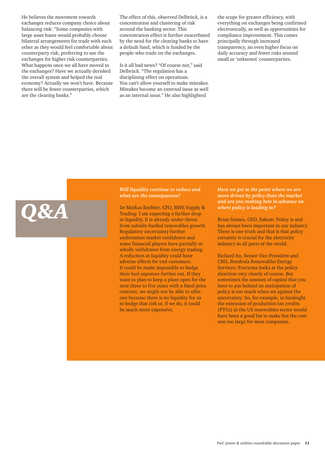He believes the movement towards exchanges reduces company choice about balancing risk: "Some companies with large asset bases would probably choose bilateral arrangements for trade with each other as they would feel comfortable about counterparty risk, preferring to use the exchanges for higher risk counterparties. What happens once we all have moved to the exchanges? Have we actually derisked the overall system and helped the real economy? Actually we won't have. Because there will be fewer counterparties, which are the clearing banks."

*Q&A*

The effect of this, observed Delbrück, is a concentration and clustering of risk around the banking sector. This concentration effect is further exacerbated by the need for the clearing banks to have a default fund, which is funded by the people who trade on the exchanges.

Is it all bad news? "Of course not," said Delbrück. "The regulation has a disciplining effect on operations. You can't allow yourself to make mistakes. Mistakes become an external issue as well as an internal issue." He also highlighted

the scope for greater efficiency, with everything on exchanges being confirmed electronically, as well as opportunities for compliance improvement. This comes principally through increased transparency, an even higher focus on daily accuracy and fewer risks around small or 'unknown' counterparties.

#### *Will liquidity continue to reduce and what are the consequences?*

Dr Markus Krebber, CFO, RWE Supply & Trading: I am expecting a further drop in liquidity. It is already under threat from subsidy-fuelled renewables growth. Regulatory uncertainty further undermines market confidence and some financial players have partially or wholly withdrawn from energy trading. A reduction in liquidity could have adverse effects for end customers. It could be made impossible to hedge their fuel exposure further out. If they want to plan to keep a plant open for the next three to five years with a fixed price contract, we might not be able to offer one because there is no liquidity for us to hedge that risk or, if we do, it could be much more expensive.

*Have we got to the point where we are more driven by policy than the market and are you making bets in advance on where policy is leading to?*

Brian Dames, CEO, Eskom: Policy is and has always been important in our industry. There is one truth and that is that policy certainty is crucial for the electricity industry in all parts of the world.

Richard Ito, Senior Vice President and CRO, Iberdrola Renewables Energy Services: Everyone looks at the policy direction very closely of course. But sometimes the amount of capital that you have to put behind an anticipation of policy is too much when set against the uncertainty. So, for example, in hindsight the extension of production tax credits (PTCs) in the US renewables sector would have been a good bet to make but the cost was too large for most companies.